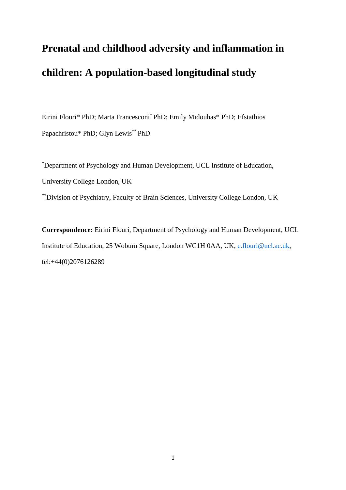# **Prenatal and childhood adversity and inflammation in children: A population-based longitudinal study**

Eirini Flouri\* PhD; Marta Francesconi\* PhD; Emily Midouhas\* PhD; Efstathios Papachristou\* PhD; Glyn Lewis\*\* PhD

\*Department of Psychology and Human Development, UCL Institute of Education, University College London, UK \*\*Division of Psychiatry, Faculty of Brain Sciences, University College London, UK

**Correspondence:** Eirini Flouri, Department of Psychology and Human Development, UCL Institute of Education, 25 Woburn Square, London WC1H 0AA, UK, [e.flouri@ucl.ac.uk,](mailto:e.flouri@ucl.ac.uk) tel:+44(0)2076126289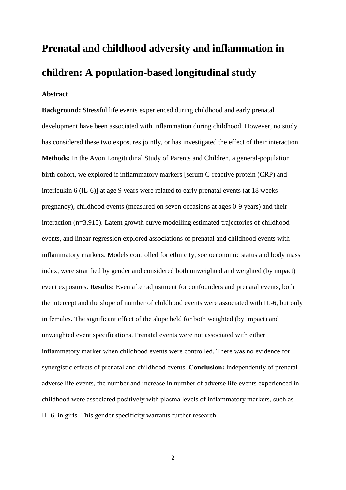# **Prenatal and childhood adversity and inflammation in children: A population-based longitudinal study**

# **Abstract**

**Background:** Stressful life events experienced during childhood and early prenatal development have been associated with inflammation during childhood. However, no study has considered these two exposures jointly, or has investigated the effect of their interaction. **Methods:** In the Avon Longitudinal Study of Parents and Children, a general-population birth cohort, we explored if inflammatory markers [serum C-reactive protein (CRP) and interleukin 6 (IL-6)] at age 9 years were related to early prenatal events (at 18 weeks pregnancy), childhood events (measured on seven occasions at ages 0-9 years) and their interaction (n=3,915). Latent growth curve modelling estimated trajectories of childhood events, and linear regression explored associations of prenatal and childhood events with inflammatory markers. Models controlled for ethnicity, socioeconomic status and body mass index, were stratified by gender and considered both unweighted and weighted (by impact) event exposures. **Results:** Even after adjustment for confounders and prenatal events, both the intercept and the slope of number of childhood events were associated with IL-6, but only in females. The significant effect of the slope held for both weighted (by impact) and unweighted event specifications. Prenatal events were not associated with either inflammatory marker when childhood events were controlled. There was no evidence for synergistic effects of prenatal and childhood events. **Conclusion:** Independently of prenatal adverse life events, the number and increase in number of adverse life events experienced in childhood were associated positively with plasma levels of inflammatory markers, such as IL-6, in girls. This gender specificity warrants further research.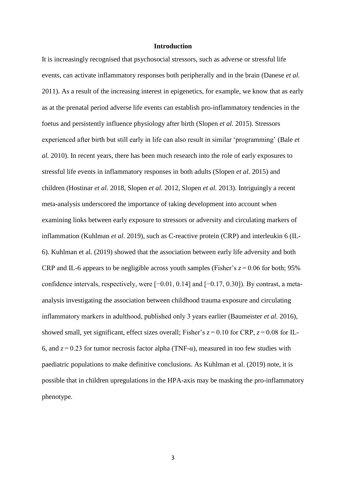## **Introduction**

It is increasingly recognised that psychosocial stressors, such as adverse or stressful life events, can activate inflammatory responses both peripherally and in the brain (Danese *et al.*  2011). As a result of the increasing interest in epigenetics, for example, we know that as early as at the prenatal period adverse life events can establish pro-inflammatory tendencies in the foetus and persistently influence physiology after birth (Slopen *et al.* 2015). Stressors experienced after birth but still early in life can also result in similar 'programming' (Bale *et al.* 2010). In recent years, there has been much research into the role of early exposures to stressful life events in inflammatory responses in both adults (Slopen *et al.* 2015) and children (Hostinar *et al.* 2018, Slopen *et al.* 2012, Slopen *et al.* 2013). Intriguingly a recent meta-analysis underscored the importance of taking development into account when examining links between early exposure to stressors or adversity and circulating markers of inflammation (Kuhlman *et al.* 2019), such as C-reactive protein (CRP) and interleukin 6 (IL-6). Kuhlman et al. (2019) showed that the association between early life adversity and both CRP and IL-6 appears to be negligible across youth samples (Fisher's  $z = 0.06$  for both; 95% confidence intervals, respectively, were [−0.01, 0.14] and [−0.17, 0.30]). By contrast, a metaanalysis investigating the association between childhood trauma exposure and circulating inflammatory markers in adulthood, published only 3 years earlier (Baumeister *et al.* 2016), showed small, yet significant, effect sizes overall; Fisher's  $z = 0.10$  for CRP,  $z = 0.08$  for IL-6, and  $z = 0.23$  for tumor necrosis factor alpha (TNF- $\alpha$ ), measured in too few studies with paediatric populations to make definitive conclusions. As Kuhlman et al. (2019) note, it is possible that in children upregulations in the HPA-axis may be masking the pro-inflammatory phenotype.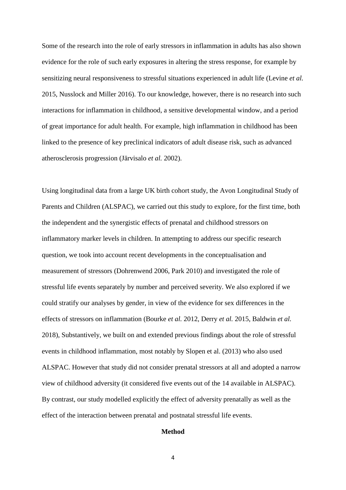Some of the research into the role of early stressors in inflammation in adults has also shown evidence for the role of such early exposures in altering the stress response, for example by sensitizing neural responsiveness to stressful situations experienced in adult life (Levine *et al.*  2015, Nusslock and Miller 2016). To our knowledge, however, there is no research into such interactions for inflammation in childhood, a sensitive developmental window, and a period of great importance for adult health. For example, high inflammation in childhood has been linked to the presence of key preclinical indicators of adult disease risk, such as advanced atherosclerosis progression (Järvisalo *et al.* 2002).

Using longitudinal data from a large UK birth cohort study, the Avon Longitudinal Study of Parents and Children (ALSPAC), we carried out this study to explore, for the first time, both the independent and the synergistic effects of prenatal and childhood stressors on inflammatory marker levels in children. In attempting to address our specific research question, we took into account recent developments in the conceptualisation and measurement of stressors (Dohrenwend 2006, Park 2010) and investigated the role of stressful life events separately by number and perceived severity. We also explored if we could stratify our analyses by gender, in view of the evidence for sex differences in the effects of stressors on inflammation (Bourke *et al.* 2012, Derry *et al.* 2015, Baldwin *et al.*  2018), Substantively, we built on and extended previous findings about the role of stressful events in childhood inflammation, most notably by Slopen et al. (2013) who also used ALSPAC. However that study did not consider prenatal stressors at all and adopted a narrow view of childhood adversity (it considered five events out of the 14 available in ALSPAC). By contrast, our study modelled explicitly the effect of adversity prenatally as well as the effect of the interaction between prenatal and postnatal stressful life events.

# **Method**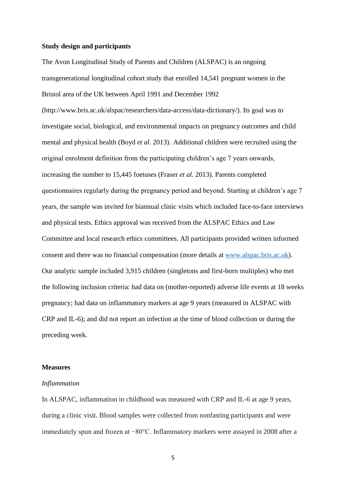## **Study design and participants**

The Avon Longitudinal Study of Parents and Children (ALSPAC) is an ongoing transgenerational longitudinal cohort study that enrolled 14,541 pregnant women in the Bristol area of the UK between April 1991 and December 1992 (http://www.bris.ac.uk/alspac/researchers/data-access/data-dictionary/). Its goal was to investigate social, biological, and environmental impacts on pregnancy outcomes and child mental and physical health (Boyd *et al.* 2013). Additional children were recruited using the original enrolment definition from the participating children's age 7 years onwards, increasing the number to 15,445 foetuses (Fraser *et al.* 2013). Parents completed questionnaires regularly during the pregnancy period and beyond. Starting at children's age 7 years, the sample was invited for biannual clinic visits which included face-to-face interviews and physical tests. Ethics approval was received from the ALSPAC Ethics and Law Committee and local research ethics committees. All participants provided written informed consent and there was no financial compensation (more details at [www.alspac.bris.ac.uk\)](http://www.alspac.bris.ac.uk/). Our analytic sample included 3,915 children (singletons and first-born multiples) who met the following inclusion criteria: had data on (mother-reported) adverse life events at 18 weeks pregnancy; had data on inflammatory markers at age 9 years (measured in ALSPAC with CRP and IL-6); and did not report an infection at the time of blood collection or during the preceding week.

## **Measures**

#### *Inflammation*

In ALSPAC, inflammation in childhood was measured with CRP and IL-6 at age 9 years, during a clinic visit. Blood samples were collected from nonfasting participants and were immediately spun and frozen at −80°C. Inflammatory markers were assayed in 2008 after a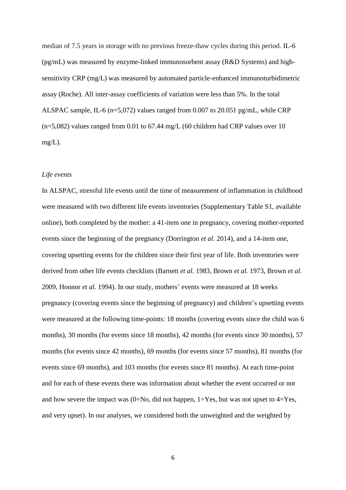median of 7.5 years in storage with no previous freeze-thaw cycles during this period. IL-6 (pg/mL) was measured by enzyme-linked immunosorbent assay (R&D Systems) and highsensitivity CRP (mg/L) was measured by automated particle-enhanced immunoturbidimetric assay (Roche). All inter-assay coefficients of variation were less than 5%. In the total ALSPAC sample, IL-6 (n=5,072) values ranged from 0.007 to 20.051 pg/mL, while CRP (n=5,082) values ranged from 0.01 to 67.44 mg/L (60 children had CRP values over 10 mg/L).

## *Life events*

In ALSPAC, stressful life events until the time of measurement of inflammation in childhood were measured with two different life events inventories (Supplementary Table S1, available online), both completed by the mother: a 41-item one in pregnancy, covering mother-reported events since the beginning of the pregnancy (Dorrington *et al.* 2014), and a 14-item one, covering upsetting events for the children since their first year of life. Both inventories were derived from other life events checklists (Barnett *et al.* 1983, Brown *et al.* 1973, Brown *et al.*  2009, Honnor *et al.* 1994). In our study, mothers' events were measured at 18 weeks pregnancy (covering events since the beginning of pregnancy) and children's upsetting events were measured at the following time-points: 18 months (covering events since the child was 6 months), 30 months (for events since 18 months), 42 months (for events since 30 months), 57 months (for events since 42 months), 69 months (for events since 57 months), 81 months (for events since 69 months), and 103 months (for events since 81 months). At each time-point and for each of these events there was information about whether the event occurred or not and how severe the impact was  $(0=No, did not happen, 1=Yes, but was not upset to 4=Yes,$ and very upset). In our analyses, we considered both the unweighted and the weighted by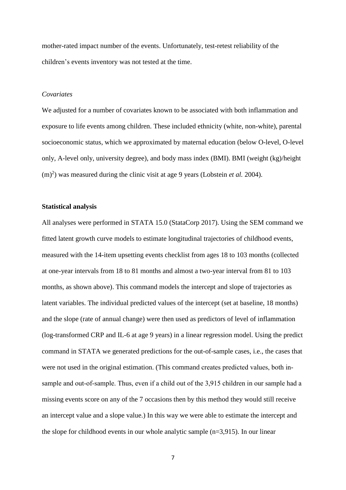mother-rated impact number of the events. Unfortunately, test-retest reliability of the children's events inventory was not tested at the time.

## *Covariates*

We adjusted for a number of covariates known to be associated with both inflammation and exposure to life events among children. These included ethnicity (white, non-white), parental socioeconomic status, which we approximated by maternal education (below O-level, O-level only, A-level only, university degree), and body mass index (BMI). BMI (weight (kg)/height  $(m)^2$ ) was measured during the clinic visit at age 9 years (Lobstein *et al.* 2004).

# **Statistical analysis**

All analyses were performed in STATA 15.0 (StataCorp 2017). Using the SEM command we fitted latent growth curve models to estimate longitudinal trajectories of childhood events, measured with the 14-item upsetting events checklist from ages 18 to 103 months (collected at one-year intervals from 18 to 81 months and almost a two-year interval from 81 to 103 months, as shown above). This command models the intercept and slope of trajectories as latent variables. The individual predicted values of the intercept (set at baseline, 18 months) and the slope (rate of annual change) were then used as predictors of level of inflammation (log-transformed CRP and IL-6 at age 9 years) in a linear regression model. Using the predict command in STATA we generated predictions for the out-of-sample cases, i.e., the cases that were not used in the original estimation. (This command creates predicted values, both insample and out-of-sample. Thus, even if a child out of the 3,915 children in our sample had a missing events score on any of the 7 occasions then by this method they would still receive an intercept value and a slope value.) In this way we were able to estimate the intercept and the slope for childhood events in our whole analytic sample (n=3,915). In our linear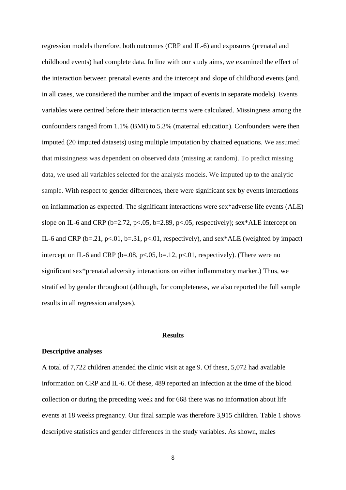regression models therefore, both outcomes (CRP and IL-6) and exposures (prenatal and childhood events) had complete data. In line with our study aims, we examined the effect of the interaction between prenatal events and the intercept and slope of childhood events (and, in all cases, we considered the number and the impact of events in separate models). Events variables were centred before their interaction terms were calculated. Missingness among the confounders ranged from 1.1% (BMI) to 5.3% (maternal education). Confounders were then imputed (20 imputed datasets) using multiple imputation by chained equations. We assumed that missingness was dependent on observed data (missing at random). To predict missing data, we used all variables selected for the analysis models. We imputed up to the analytic sample. With respect to gender differences, there were significant sex by events interactions on inflammation as expected. The significant interactions were sex\*adverse life events (ALE) slope on IL-6 and CRP ( $b=2.72$ ,  $p<.05$ ,  $b=2.89$ ,  $p<.05$ , respectively); sex\*ALE intercept on IL-6 and CRP ( $b=21$ ,  $p<01$ ,  $b=.31$ ,  $p<01$ , respectively), and sex\*ALE (weighted by impact) intercept on IL-6 and CRP ( $b=.08$ ,  $p<.05$ ,  $b=.12$ ,  $p<.01$ , respectively). (There were no significant sex\*prenatal adversity interactions on either inflammatory marker.) Thus, we stratified by gender throughout (although, for completeness, we also reported the full sample results in all regression analyses).

## **Results**

#### **Descriptive analyses**

A total of 7,722 children attended the clinic visit at age 9. Of these, 5,072 had available information on CRP and IL-6. Of these, 489 reported an infection at the time of the blood collection or during the preceding week and for 668 there was no information about life events at 18 weeks pregnancy. Our final sample was therefore 3,915 children. Table 1 shows descriptive statistics and gender differences in the study variables. As shown, males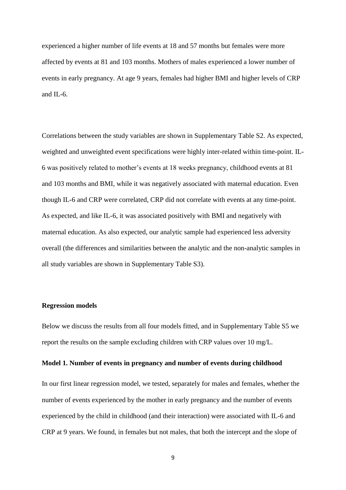experienced a higher number of life events at 18 and 57 months but females were more affected by events at 81 and 103 months. Mothers of males experienced a lower number of events in early pregnancy. At age 9 years, females had higher BMI and higher levels of CRP and IL-6.

Correlations between the study variables are shown in Supplementary Table S2. As expected, weighted and unweighted event specifications were highly inter-related within time-point. IL-6 was positively related to mother's events at 18 weeks pregnancy, childhood events at 81 and 103 months and BMI, while it was negatively associated with maternal education. Even though IL-6 and CRP were correlated, CRP did not correlate with events at any time-point. As expected, and like IL-6, it was associated positively with BMI and negatively with maternal education. As also expected, our analytic sample had experienced less adversity overall (the differences and similarities between the analytic and the non-analytic samples in all study variables are shown in Supplementary Table S3).

# **Regression models**

Below we discuss the results from all four models fitted, and in Supplementary Table S5 we report the results on the sample excluding children with CRP values over 10 mg/L.

## **Model 1. Number of events in pregnancy and number of events during childhood**

In our first linear regression model, we tested, separately for males and females, whether the number of events experienced by the mother in early pregnancy and the number of events experienced by the child in childhood (and their interaction) were associated with IL-6 and CRP at 9 years. We found, in females but not males, that both the intercept and the slope of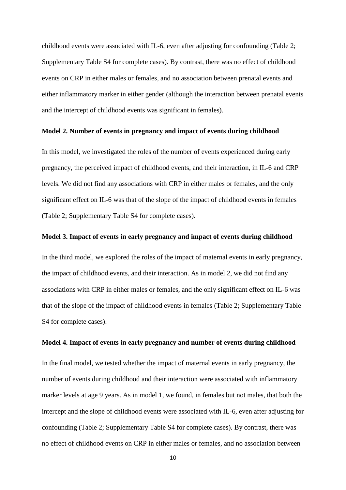childhood events were associated with IL-6, even after adjusting for confounding (Table 2; Supplementary Table S4 for complete cases). By contrast, there was no effect of childhood events on CRP in either males or females, and no association between prenatal events and either inflammatory marker in either gender (although the interaction between prenatal events and the intercept of childhood events was significant in females).

## **Model 2. Number of events in pregnancy and impact of events during childhood**

In this model, we investigated the roles of the number of events experienced during early pregnancy, the perceived impact of childhood events, and their interaction, in IL-6 and CRP levels. We did not find any associations with CRP in either males or females, and the only significant effect on IL-6 was that of the slope of the impact of childhood events in females (Table 2; Supplementary Table S4 for complete cases).

## **Model 3. Impact of events in early pregnancy and impact of events during childhood**

In the third model, we explored the roles of the impact of maternal events in early pregnancy, the impact of childhood events, and their interaction. As in model 2, we did not find any associations with CRP in either males or females, and the only significant effect on IL-6 was that of the slope of the impact of childhood events in females (Table 2; Supplementary Table S4 for complete cases).

# **Model 4. Impact of events in early pregnancy and number of events during childhood**

In the final model, we tested whether the impact of maternal events in early pregnancy, the number of events during childhood and their interaction were associated with inflammatory marker levels at age 9 years. As in model 1, we found, in females but not males, that both the intercept and the slope of childhood events were associated with IL-6, even after adjusting for confounding (Table 2; Supplementary Table S4 for complete cases). By contrast, there was no effect of childhood events on CRP in either males or females, and no association between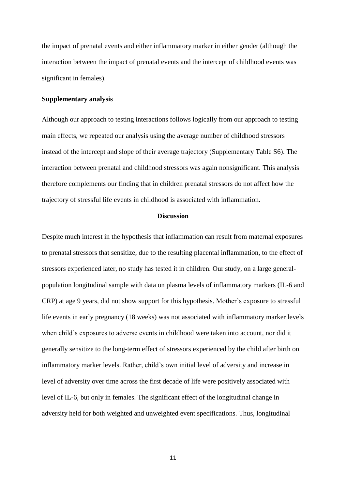the impact of prenatal events and either inflammatory marker in either gender (although the interaction between the impact of prenatal events and the intercept of childhood events was significant in females).

# **Supplementary analysis**

Although our approach to testing interactions follows logically from our approach to testing main effects, we repeated our analysis using the average number of childhood stressors instead of the intercept and slope of their average trajectory (Supplementary Table S6). The interaction between prenatal and childhood stressors was again nonsignificant. This analysis therefore complements our finding that in children prenatal stressors do not affect how the trajectory of stressful life events in childhood is associated with inflammation.

# **Discussion**

Despite much interest in the hypothesis that inflammation can result from maternal exposures to prenatal stressors that sensitize, due to the resulting placental inflammation, to the effect of stressors experienced later, no study has tested it in children. Our study, on a large generalpopulation longitudinal sample with data on plasma levels of inflammatory markers (IL-6 and CRP) at age 9 years, did not show support for this hypothesis. Mother's exposure to stressful life events in early pregnancy (18 weeks) was not associated with inflammatory marker levels when child's exposures to adverse events in childhood were taken into account, nor did it generally sensitize to the long-term effect of stressors experienced by the child after birth on inflammatory marker levels. Rather, child's own initial level of adversity and increase in level of adversity over time across the first decade of life were positively associated with level of IL-6, but only in females. The significant effect of the longitudinal change in adversity held for both weighted and unweighted event specifications. Thus, longitudinal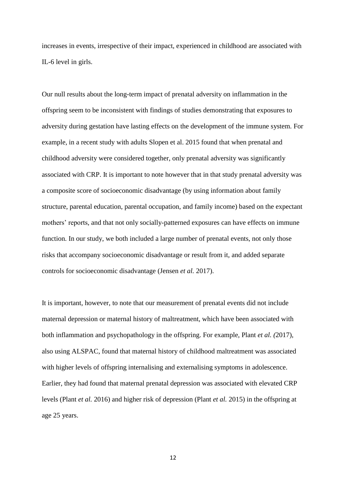increases in events, irrespective of their impact, experienced in childhood are associated with IL-6 level in girls.

Our null results about the long-term impact of prenatal adversity on inflammation in the offspring seem to be inconsistent with findings of studies demonstrating that exposures to adversity during gestation have lasting effects on the development of the immune system. For example, in a recent study with adults Slopen et al. 2015 found that when prenatal and childhood adversity were considered together, only prenatal adversity was significantly associated with CRP. It is important to note however that in that study prenatal adversity was a composite score of socioeconomic disadvantage (by using information about family structure, parental education, parental occupation, and family income) based on the expectant mothers' reports, and that not only socially-patterned exposures can have effects on immune function. In our study, we both included a large number of prenatal events, not only those risks that accompany socioeconomic disadvantage or result from it, and added separate controls for socioeconomic disadvantage (Jensen *et al.* 2017).

It is important, however, to note that our measurement of prenatal events did not include maternal depression or maternal history of maltreatment, which have been associated with both inflammation and psychopathology in the offspring. For example, Plant *et al. (*2017), also using ALSPAC, found that maternal history of childhood maltreatment was associated with higher levels of offspring internalising and externalising symptoms in adolescence. Earlier, they had found that maternal prenatal depression was associated with elevated CRP levels (Plant *et al.* 2016) and higher risk of depression (Plant *et al.* 2015) in the offspring at age 25 years.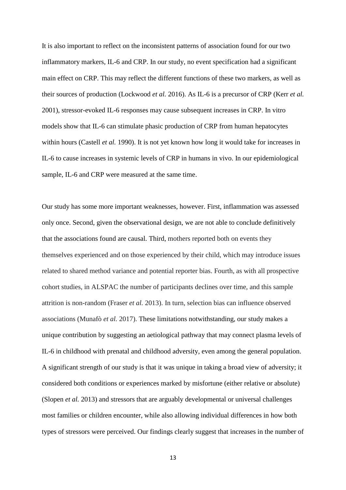It is also important to reflect on the inconsistent patterns of association found for our two inflammatory markers, IL-6 and CRP. In our study, no event specification had a significant main effect on CRP. This may reflect the different functions of these two markers, as well as their sources of production (Lockwood *et al.* 2016). As IL-6 is a precursor of CRP (Kerr *et al.*  2001), stressor-evoked IL-6 responses may cause subsequent increases in CRP. In vitro models show that IL-6 can stimulate phasic production of CRP from human hepatocytes within hours (Castell *et al.* 1990). It is not yet known how long it would take for increases in IL-6 to cause increases in systemic levels of CRP in humans in vivo. In our epidemiological sample, IL-6 and CRP were measured at the same time.

Our study has some more important weaknesses, however. First, inflammation was assessed only once. Second, given the observational design, we are not able to conclude definitively that the associations found are causal. Third, mothers reported both on events they themselves experienced and on those experienced by their child, which may introduce issues related to shared method variance and potential reporter bias. Fourth, as with all prospective cohort studies, in ALSPAC the number of participants declines over time, and this sample attrition is non-random (Fraser *et al.* 2013). In turn, selection bias can influence observed associations (Munafò *et al.* 2017). These limitations notwithstanding, our study makes a unique contribution by suggesting an aetiological pathway that may connect plasma levels of IL-6 in childhood with prenatal and childhood adversity, even among the general population. A significant strength of our study is that it was unique in taking a broad view of adversity; it considered both conditions or experiences marked by misfortune (either relative or absolute) (Slopen *et al.* 2013) and stressors that are arguably developmental or universal challenges most families or children encounter, while also allowing individual differences in how both types of stressors were perceived. Our findings clearly suggest that increases in the number of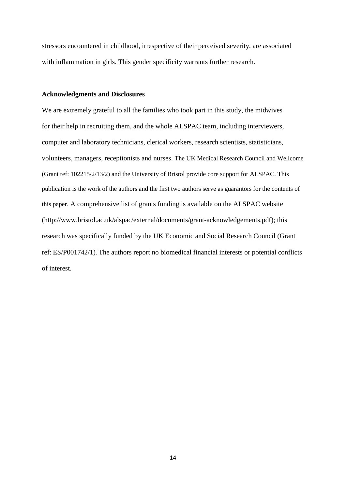stressors encountered in childhood, irrespective of their perceived severity, are associated with inflammation in girls. This gender specificity warrants further research.

## **Acknowledgments and Disclosures**

We are extremely grateful to all the families who took part in this study, the midwives for their help in recruiting them, and the whole ALSPAC team, including interviewers, computer and laboratory technicians, clerical workers, research scientists, statisticians, volunteers, managers, receptionists and nurses. The UK Medical Research Council and Wellcome (Grant ref: 102215/2/13/2) and the University of Bristol provide core support for ALSPAC. This publication is the work of the authors and the first two authors serve as guarantors for the contents of this paper. A comprehensive list of grants funding is available on the ALSPAC website (http://www.bristol.ac.uk/alspac/external/documents/grant-acknowledgements.pdf); this research was specifically funded by the UK Economic and Social Research Council (Grant ref: ES/P001742/1). The authors report no biomedical financial interests or potential conflicts of interest.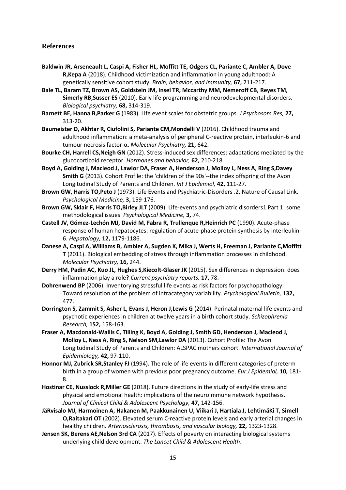# **References**

- **Baldwin JR, Arseneault L, Caspi A, Fisher HL, Moffitt TE, Odgers CL, Pariante C, Ambler A, Dove R,Kepa A** (2018). Childhood victimization and inflammation in young adulthood: A genetically sensitive cohort study. *Brain, behavior, and immunity,* **67,** 211-217.
- **Bale TL, Baram TZ, Brown AS, Goldstein JM, Insel TR, Mccarthy MM, Nemeroff CB, Reyes TM, Simerly RB,Susser ES** (2010). Early life programming and neurodevelopmental disorders. *Biological psychiatry,* **68,** 314-319.
- **Barnett BE, Hanna B,Parker G** (1983). Life event scales for obstetric groups. *J Psychosom Res,* **27,** 313-20.
- **Baumeister D, Akhtar R, Ciufolini S, Pariante CM,Mondelli V** (2016). Childhood trauma and adulthood inflammation: a meta-analysis of peripheral C-reactive protein, interleukin-6 and tumour necrosis factor-α. *Molecular Psychiatry,* **21,** 642.
- **Bourke CH, Harrell CS,Neigh GN** (2012). Stress-induced sex differences: adaptations mediated by the glucocorticoid receptor. *Hormones and behavior,* **62,** 210-218.
- **Boyd A, Golding J, Macleod J, Lawlor DA, Fraser A, Henderson J, Molloy L, Ness A, Ring S,Davey Smith G** (2013). Cohort Profile: the 'children of the 90s'--the index offspring of the Avon Longitudinal Study of Parents and Children. *Int J Epidemiol,* **42,** 111-27.
- **Brown GW, Harris TO,Peto J** (1973). Life Events and Psychiatric-Disorders .2. Nature of Causal Link. *Psychological Medicine,* **3,** 159-176.
- **Brown GW, Sklair F, Harris TO,Birley JLT** (2009). Life-events and psychiatric disorders1 Part 1: some methodological issues. *Psychological Medicine,* **3,** 74.
- **Castell JV, Gómez‐Lechón MJ, David M, Fabra R, Trullenque R,Heinrich PC** (1990). Acute‐phase response of human hepatocytes: regulation of acute‐phase protein synthesis by interleukin‐ 6. *Hepatology,* **12,** 1179-1186.
- **Danese A, Caspi A, Williams B, Ambler A, Sugden K, Mika J, Werts H, Freeman J, Pariante C,Moffitt T** (2011). Biological embedding of stress through inflammation processes in childhood. *Molecular Psychiatry,* **16,** 244.
- **Derry HM, Padin AC, Kuo JL, Hughes S,Kiecolt-Glaser JK** (2015). Sex differences in depression: does inflammation play a role? *Current psychiatry reports,* **17,** 78.
- **Dohrenwend BP** (2006). Inventorying stressful life events as risk factors for psychopathology: Toward resolution of the problem of intracategory variability. *Psychological Bulletin,* **132,** 477.
- **Dorrington S, Zammit S, Asher L, Evans J, Heron J,Lewis G** (2014). Perinatal maternal life events and psychotic experiences in children at twelve years in a birth cohort study. *Schizophrenia Research,* **152,** 158-163.
- **Fraser A, Macdonald-Wallis C, Tilling K, Boyd A, Golding J, Smith GD, Henderson J, Macleod J, Molloy L, Ness A, Ring S, Nelson SM,Lawlor DA** (2013). Cohort Profile: The Avon Longitudinal Study of Parents and Children: ALSPAC mothers cohort. *International Journal of Epidemiology,* **42,** 97-110.
- **Honnor MJ, Zubrick SR,Stanley FJ** (1994). The role of life events in different categories of preterm birth in a group of women with previous poor pregnancy outcome. *Eur J Epidemiol,* **10,** 181- 8.
- **Hostinar CE, Nusslock R,Miller GE** (2018). Future directions in the study of early-life stress and physical and emotional health: implications of the neuroimmune network hypothesis. *Journal of Clinical Child & Adolescent Psychology,* **47,** 142-156.
- **JäRvisalo MJ, Harmoinen A, Hakanen M, Paakkunainen U, Viikari J, Hartiala J, LehtimäKi T, Simell O,Raitakari OT** (2002). Elevated serum C-reactive protein levels and early arterial changes in healthy children. *Arteriosclerosis, thrombosis, and vascular biology,* **22,** 1323-1328.
- **Jensen SK, Berens AE,Nelson 3rd CA** (2017). Effects of poverty on interacting biological systems underlying child development. *The Lancet Child & Adolescent Health*.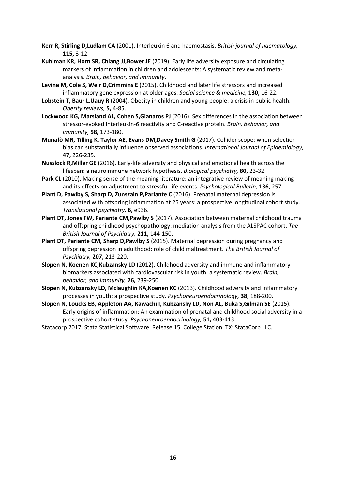- **Kerr R, Stirling D,Ludlam CA** (2001). Interleukin 6 and haemostasis. *British journal of haematology,* **115,** 3-12.
- **Kuhlman KR, Horn SR, Chiang JJ,Bower JE** (2019). Early life adversity exposure and circulating markers of inflammation in children and adolescents: A systematic review and metaanalysis. *Brain, behavior, and immunity*.
- **Levine M, Cole S, Weir D,Crimmins E** (2015). Childhood and later life stressors and increased inflammatory gene expression at older ages. *Social science & medicine,* **130,** 16-22.
- **Lobstein T, Baur L,Uauy R** (2004). Obesity in children and young people: a crisis in public health. *Obesity reviews,* **5,** 4-85.
- **Lockwood KG, Marsland AL, Cohen S,Gianaros PJ** (2016). Sex differences in the association between stressor-evoked interleukin-6 reactivity and C-reactive protein. *Brain, behavior, and immunity,* **58,** 173-180.
- **Munafò MR, Tilling K, Taylor AE, Evans DM,Davey Smith G** (2017). Collider scope: when selection bias can substantially influence observed associations. *International Journal of Epidemiology,* **47,** 226-235.
- **Nusslock R,Miller GE** (2016). Early-life adversity and physical and emotional health across the lifespan: a neuroimmune network hypothesis. *Biological psychiatry,* **80,** 23-32.
- **Park CL** (2010). Making sense of the meaning literature: an integrative review of meaning making and its effects on adjustment to stressful life events. *Psychological Bulletin,* **136,** 257.
- **Plant D, Pawlby S, Sharp D, Zunszain P,Pariante C** (2016). Prenatal maternal depression is associated with offspring inflammation at 25 years: a prospective longitudinal cohort study. *Translational psychiatry,* **6,** e936.
- **Plant DT, Jones FW, Pariante CM,Pawlby S** (2017). Association between maternal childhood trauma and offspring childhood psychopathology: mediation analysis from the ALSPAC cohort. *The British Journal of Psychiatry,* **211,** 144-150.
- **Plant DT, Pariante CM, Sharp D,Pawlby S** (2015). Maternal depression during pregnancy and offspring depression in adulthood: role of child maltreatment. *The British Journal of Psychiatry,* **207,** 213-220.
- **Slopen N, Koenen KC,Kubzansky LD** (2012). Childhood adversity and immune and inflammatory biomarkers associated with cardiovascular risk in youth: a systematic review. *Brain, behavior, and immunity,* **26,** 239-250.
- **Slopen N, Kubzansky LD, Mclaughlin KA,Koenen KC** (2013). Childhood adversity and inflammatory processes in youth: a prospective study. *Psychoneuroendocrinology,* **38,** 188-200.
- **Slopen N, Loucks EB, Appleton AA, Kawachi I, Kubzansky LD, Non AL, Buka S,Gilman SE** (2015). Early origins of inflammation: An examination of prenatal and childhood social adversity in a prospective cohort study. *Psychoneuroendocrinology,* **51,** 403-413.
- Statacorp 2017. Stata Statistical Software: Release 15. College Station, TX: StataCorp LLC.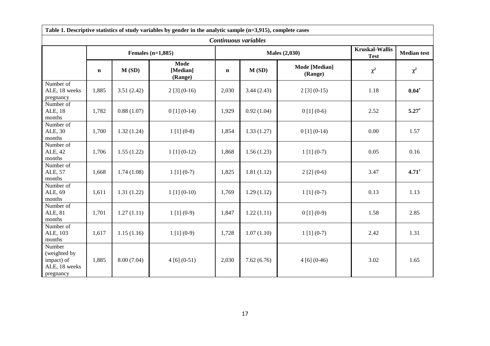| Table 1. Descriptive statistics of study variables by gender in the analytic sample $(n=3,915)$ , complete cases |             |            |                                    |                      |            |                                 |                                      |                    |  |  |  |  |
|------------------------------------------------------------------------------------------------------------------|-------------|------------|------------------------------------|----------------------|------------|---------------------------------|--------------------------------------|--------------------|--|--|--|--|
| Continuous variables                                                                                             |             |            |                                    |                      |            |                                 |                                      |                    |  |  |  |  |
|                                                                                                                  |             |            | Females $(n=1,885)$                |                      |            | <b>Males</b> (2,030)            | <b>Kruskal-Wallis</b><br><b>Test</b> | <b>Median test</b> |  |  |  |  |
|                                                                                                                  | $\mathbf n$ | M(SD)      | Mode<br>[Median]<br>(Range)        | M(SD)<br>$\mathbf n$ |            | <b>Mode</b> [Median]<br>(Range) | $\chi^2$                             | $\chi^2$           |  |  |  |  |
| Number of<br>ALE, 18 weeks<br>pregnancy                                                                          | 1,885       | 3.51(2.42) | $2[3](0-16)$                       | 2,030                | 3.44(2.43) | $2[3](0-15)$                    | 1.18                                 | $0.04*$            |  |  |  |  |
| Number of<br>ALE, 18<br>months                                                                                   | 1,782       | 0.88(1.07) | $0$ [1] $(0-14)$                   | 1,929                | 0.92(1.04) | $0[1](0-6)$                     | 2.52                                 | $5.27*$            |  |  |  |  |
| Number of<br>ALE, 30<br>months                                                                                   | 1,700       | 1.32(1.24) | $1[1](0-8)$                        | 1,854                | 1.33(1.27) | $0[1](0-14)$                    | 0.00                                 | 1.57               |  |  |  |  |
| Number of<br>ALE, 42<br>months                                                                                   | 1,706       | 1.55(1.22) | $1$ [1] (0-12)                     | 1,868                | 1.56(1.23) | $1[1](0-7)$                     | 0.05                                 | 0.16               |  |  |  |  |
| Number of<br>ALE, 57<br>months                                                                                   | 1,668       | 1.74(1.08) | $1[1](0-7)$                        | 1,825                | 1.81(1.12) | $2[2](0-6)$                     | 3.47                                 | $4.71*$            |  |  |  |  |
| Number of<br>ALE, 69<br>months                                                                                   | 1,611       | 1.31(1.22) | $1\left[1\right]\left(0-10\right)$ | 1,769                | 1.29(1.12) | $1[1](0-7)$                     | 0.13                                 | 1.13               |  |  |  |  |
| Number of<br>ALE, 81<br>months                                                                                   | 1,701       | 1.27(1.11) | $1[1](0-9)$                        | 1,847                | 1.22(1.11) | $0[1](0-9)$                     | 1.58                                 | 2.85               |  |  |  |  |
| Number of<br>ALE, 103<br>months                                                                                  | 1,617       | 1.15(1.16) | $1\left[1\right]\left(0-9\right)$  | 1,728                | 1.07(1.10) | $1[1](0-7)$                     | 2.42                                 | 1.31               |  |  |  |  |
| Number<br>(weighted by<br>impact) of<br>ALE, 18 weeks<br>pregnancy                                               | 1,885       | 8.00(7.04) | $4[6](0-51)$                       | 2,030                | 7.62(6.76) | $4[6](0-46)$                    | 3.02                                 | 1.65               |  |  |  |  |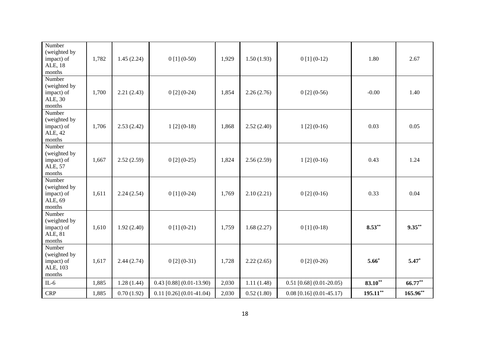| Number<br>(weighted by<br>impact) of<br>ALE, 18<br>months      | 1,782 | 1.45(2.24) | $0[1](0-50)$                 | 1,929                               | 1.50(1.93)                 | $0[1](0-12)$                   | 1.80        | 2.67        |
|----------------------------------------------------------------|-------|------------|------------------------------|-------------------------------------|----------------------------|--------------------------------|-------------|-------------|
| Number<br>(weighted by<br>impact) of<br>ALE, 30<br>$\,$ months | 1,700 | 2.21(2.43) | $0[2](0-24)$                 | 1,854                               | 2.26(2.76)                 | $0[2](0-56)$                   | $-0.00$     | 1.40        |
| Number<br>(weighted by<br>impact) of<br>ALE, 42<br>months      | 1,706 | 2.53(2.42) | $1[2](0-18)$                 | 1,868                               | 2.52(2.40)                 | $1[2](0-16)$                   | 0.03        | 0.05        |
| Number<br>(weighted by<br>impact) of<br>ALE, 57<br>months      | 1,667 | 2.52(2.59) | $0[2](0-25)$                 | 1,824                               | 2.56(2.59)                 | $1[2](0-16)$                   | 0.43        | 1.24        |
| Number<br>(weighted by<br>impact) of<br>ALE, 69<br>months      | 1,611 | 2.24(2.54) | $0[1](0-24)$                 | 1,769                               | 2.10(2.21)                 | $0[2](0-16)$                   | 0.33        | 0.04        |
| Number<br>(weighted by<br>impact) of<br>ALE, 81<br>months      | 1,610 | 1.92(2.40) | $0[1](0-21)$                 | 1,759<br>1.68(2.27)<br>$0[1](0-18)$ |                            |                                | $8.53***$   | $9.35***$   |
| Number<br>(weighted by<br>impact) of<br>ALE, 103<br>months     | 1,617 | 2.44(2.74) | $0[2](0-31)$                 | 1,728                               | $0[2](0-26)$<br>2.22(2.65) |                                | $5.66*$     | $5.47*$     |
| $IL-6$                                                         | 1,885 | 1.28(1.44) | $0.43$ [0.88] $(0.01-13.90)$ | 2,030                               | 1.11(1.48)                 | $0.51$ [0.68] $(0.01 - 20.05)$ | $83.10**$   | $66.77**$   |
| CRP                                                            | 1,885 | 0.70(1.92) | $0.11$ [0.26] $(0.01-41.04)$ | 2,030                               | 0.52(1.80)                 | $0.08$ [0.16] $(0.01-45.17)$   | $195.11***$ | $165.96***$ |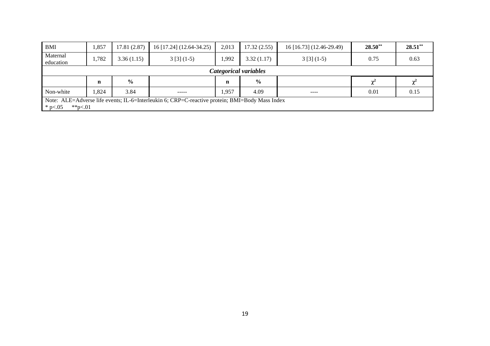| BMI                   | 1,857 | 17.81(2.87)   | 16 [17.24] (12.64-34.25) | 2,013       | 17.32(2.55)   | 16 [16.73] (12.46-29.49) | $28.50**$ | $28.51***$ |  |  |  |
|-----------------------|-------|---------------|--------------------------|-------------|---------------|--------------------------|-----------|------------|--|--|--|
| Maternal<br>education | 1,782 | 3.36(1.15)    | $3[3](1-5)$              | .992        | 3.32(1.17)    | $3[3](1-5)$              | 0.75      | 0.63       |  |  |  |
| Categorical variables |       |               |                          |             |               |                          |           |            |  |  |  |
|                       |       |               |                          |             |               |                          |           |            |  |  |  |
|                       | n     | $\frac{0}{0}$ |                          | $\mathbf n$ | $\frac{6}{9}$ |                          |           |            |  |  |  |
| Non-white             | ,824  | 3.84          | -----                    | .,957       | 4.09          | ----                     | 0.01      | 0.15       |  |  |  |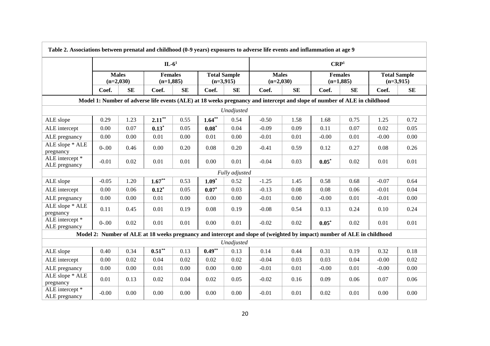| Table 2. Associations between prenatal and childhood (0-9 years) exposures to adverse life events and inflammation at age 9 |                             |      |                               |      |                                    |            |                                                                                                                         |      |                               |      |                                    |      |  |  |
|-----------------------------------------------------------------------------------------------------------------------------|-----------------------------|------|-------------------------------|------|------------------------------------|------------|-------------------------------------------------------------------------------------------------------------------------|------|-------------------------------|------|------------------------------------|------|--|--|
|                                                                                                                             |                             |      | $IL-61$                       |      |                                    |            | CRP <sup>1</sup>                                                                                                        |      |                               |      |                                    |      |  |  |
|                                                                                                                             | <b>Males</b><br>$(n=2,030)$ |      | <b>Females</b><br>$(n=1,885)$ |      | <b>Total Sample</b><br>$(n=3,915)$ |            | <b>Males</b><br>$(n=2,030)$                                                                                             |      | <b>Females</b><br>$(n=1,885)$ |      | <b>Total Sample</b><br>$(n=3,915)$ |      |  |  |
|                                                                                                                             | Coef.                       | SE   | Coef.                         | SE   | Coef.                              | SE         | Coef.                                                                                                                   | SE   | Coef.                         | SE   | Coef.                              | SE   |  |  |
| Model 1: Number of adverse life events (ALE) at 18 weeks pregnancy and intercept and slope of number of ALE in childhood    |                             |      |                               |      |                                    |            |                                                                                                                         |      |                               |      |                                    |      |  |  |
| Unadjusted                                                                                                                  |                             |      |                               |      |                                    |            |                                                                                                                         |      |                               |      |                                    |      |  |  |
| ALE slope                                                                                                                   | 0.29                        | 1.23 | $2.11***$                     | 0.55 | $1.64***$                          | 0.54       | $-0.50$                                                                                                                 | 1.58 | 1.68                          | 0.75 | 1.25                               | 0.72 |  |  |
| ALE intercept                                                                                                               | 0.00                        | 0.07 | $0.13*$                       | 0.05 | $0.08*$                            | 0.04       | $-0.09$                                                                                                                 | 0.09 | 0.11                          | 0.07 | 0.02                               | 0.05 |  |  |
| ALE pregnancy                                                                                                               | 0.00                        | 0.00 | 0.01                          | 0.00 | 0.01                               | 0.00       | $-0.01$                                                                                                                 | 0.01 | $-0.00$                       | 0.01 | $-0.00$                            | 0.00 |  |  |
| ALE slope * ALE<br>pregnancy                                                                                                | $0 - .00$                   | 0.46 | 0.00                          | 0.20 | 0.08                               | 0.20       | $-0.41$                                                                                                                 | 0.59 | 0.12                          | 0.27 | 0.08                               | 0.26 |  |  |
| ALE intercept *<br>ALE pregnancy                                                                                            | $-0.01$                     | 0.02 | 0.01                          | 0.01 | 0.00                               | 0.01       | $-0.04$                                                                                                                 | 0.03 | $0.05*$                       | 0.02 | 0.01                               | 0.01 |  |  |
| Fully adjusted                                                                                                              |                             |      |                               |      |                                    |            |                                                                                                                         |      |                               |      |                                    |      |  |  |
| ALE slope                                                                                                                   | $-0.05$                     | 1.20 | $1.67**$                      | 0.53 | $1.09*$                            | 0.52       | $-1.25$                                                                                                                 | 1.45 | 0.58                          | 0.68 | $-0.07$                            | 0.64 |  |  |
| ALE intercept                                                                                                               | 0.00                        | 0.06 | $0.12*$                       | 0.05 | $0.07*$                            | 0.03       | $-0.13$                                                                                                                 | 0.08 | 0.08                          | 0.06 | $-0.01$                            | 0.04 |  |  |
| ALE pregnancy                                                                                                               | 0.00                        | 0.00 | $0.01\,$                      | 0.00 | 0.00                               | 0.00       | $-0.01$                                                                                                                 | 0.00 | $-0.00$                       | 0.01 | $-0.01$                            | 0.00 |  |  |
| ALE slope * ALE<br>pregnancy                                                                                                | 0.11                        | 0.45 | 0.01                          | 0.19 | 0.08                               | 0.19       | $-0.08$                                                                                                                 | 0.54 | 0.13                          | 0.24 | 0.10                               | 0.24 |  |  |
| ALE intercept *<br>ALE pregnancy                                                                                            | $0 - 00$                    | 0.02 | 0.01                          | 0.01 | 0.00                               | 0.01       | $-0.02$                                                                                                                 | 0.02 | $0.05*$                       | 0.02 | 0.01                               | 0.01 |  |  |
|                                                                                                                             |                             |      |                               |      |                                    |            | Model 2: Number of ALE at 18 weeks pregnancy and intercept and slope of (weighted by impact) number of ALE in childhood |      |                               |      |                                    |      |  |  |
|                                                                                                                             |                             |      |                               |      |                                    | Unadjusted |                                                                                                                         |      |                               |      |                                    |      |  |  |
| ALE slope                                                                                                                   | 0.40                        | 0.34 | $0.51***$                     | 0.13 | $0.49**$                           | 0.13       | 0.14                                                                                                                    | 0.44 | 0.31                          | 0.19 | 0.32                               | 0.18 |  |  |
| ALE intercept                                                                                                               | 0.00                        | 0.02 | 0.04                          | 0.02 | 0.02                               | 0.02       | $-0.04$                                                                                                                 | 0.03 | 0.03                          | 0.04 | $-0.00$                            | 0.02 |  |  |
| ALE pregnancy                                                                                                               | 0.00                        | 0.00 | 0.01                          | 0.00 | 0.00                               | 0.00       | $-0.01$                                                                                                                 | 0.01 | $-0.00$                       | 0.01 | $-0.00$                            | 0.00 |  |  |
| ALE slope * ALE<br>pregnancy                                                                                                | 0.01                        | 0.13 | 0.02                          | 0.04 | 0.02                               | 0.05       | $-0.02$                                                                                                                 | 0.16 | 0.09                          | 0.06 | 0.07                               | 0.06 |  |  |
| ALE intercept *<br>ALE pregnancy                                                                                            | $-0.00$                     | 0.00 | 0.00                          | 0.00 | 0.00                               | 0.00       | $-0.01$                                                                                                                 | 0.01 | 0.02                          | 0.01 | 0.00                               | 0.00 |  |  |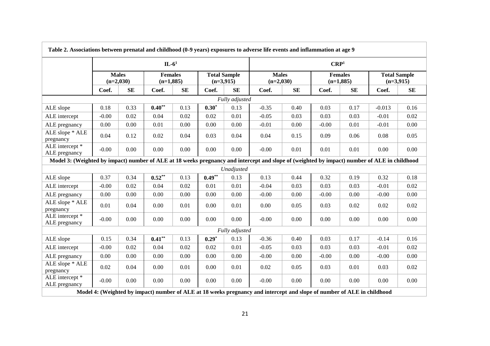| Table 2. Associations between prenatal and childhood (0-9 years) exposures to adverse life events and inflammation at age 9                  |                             |           |                               |      |                                    |                |                             |      |                               |      |                                    |           |  |
|----------------------------------------------------------------------------------------------------------------------------------------------|-----------------------------|-----------|-------------------------------|------|------------------------------------|----------------|-----------------------------|------|-------------------------------|------|------------------------------------|-----------|--|
|                                                                                                                                              |                             |           | $IL-61$                       |      |                                    |                | CRP <sup>1</sup>            |      |                               |      |                                    |           |  |
|                                                                                                                                              | <b>Males</b><br>$(n=2,030)$ |           | <b>Females</b><br>$(n=1,885)$ |      | <b>Total Sample</b><br>$(n=3,915)$ |                | <b>Males</b><br>$(n=2,030)$ |      | <b>Females</b><br>$(n=1,885)$ |      | <b>Total Sample</b><br>$(n=3,915)$ |           |  |
|                                                                                                                                              | Coef.                       | <b>SE</b> | Coef.                         | SE   | Coef.                              | <b>SE</b>      | Coef.                       | SE   | Coef.                         | SE   | Coef.                              | <b>SE</b> |  |
| Fully adjusted                                                                                                                               |                             |           |                               |      |                                    |                |                             |      |                               |      |                                    |           |  |
| ALE slope                                                                                                                                    | 0.18                        | 0.33      | $0.40**$                      | 0.13 | $0.30*$                            | 0.13           | $-0.35$                     | 0.40 | 0.03                          | 0.17 | $-0.013$                           | 0.16      |  |
| ALE intercept                                                                                                                                | $-0.00$                     | 0.02      | 0.04                          | 0.02 | 0.02                               | 0.01           | $-0.05$                     | 0.03 | 0.03                          | 0.03 | $-0.01$                            | 0.02      |  |
| ALE pregnancy                                                                                                                                | 0.00                        | 0.00      | 0.01                          | 0.00 | 0.00                               | 0.00           | $-0.01$                     | 0.00 | $-0.00$                       | 0.01 | $-0.01$                            | 0.00      |  |
| ALE slope * ALE<br>pregnancy                                                                                                                 | 0.04                        | 0.12      | 0.02                          | 0.04 | 0.03                               | 0.04           | 0.04                        | 0.15 | 0.09                          | 0.06 | 0.08                               | 0.05      |  |
| ALE intercept *<br>ALE pregnancy                                                                                                             | $-0.00$                     | 0.00      | 0.00                          | 0.00 | 0.00                               | 0.00           | $-0.00$                     | 0.01 | 0.01                          | 0.01 | 0.00                               | 0.00      |  |
| Model 3: (Weighted by impact) number of ALE at 18 weeks pregnancy and intercept and slope of (weighted by impact) number of ALE in childhood |                             |           |                               |      |                                    |                |                             |      |                               |      |                                    |           |  |
|                                                                                                                                              |                             |           |                               |      |                                    | Unadjusted     |                             |      |                               |      |                                    |           |  |
| ALE slope                                                                                                                                    | 0.37                        | 0.34      | $0.52**$                      | 0.13 | $0.49**$                           | 0.13           | 0.13                        | 0.44 | 0.32                          | 0.19 | 0.32                               | 0.18      |  |
| ALE intercept                                                                                                                                | $-0.00$                     | 0.02      | 0.04                          | 0.02 | 0.01                               | 0.01           | $-0.04$                     | 0.03 | 0.03                          | 0.03 | $-0.01$                            | 0.02      |  |
| ALE pregnancy                                                                                                                                | 0.00                        | 0.00      | 0.00                          | 0.00 | 0.00                               | 0.00           | $-0.00$                     | 0.00 | $-0.00$                       | 0.00 | $-0.00$                            | 0.00      |  |
| ALE slope * ALE<br>pregnancy                                                                                                                 | 0.01                        | 0.04      | 0.00                          | 0.01 | 0.00                               | 0.01           | 0.00                        | 0.05 | 0.03                          | 0.02 | 0.02                               | 0.02      |  |
| ALE intercept *<br>ALE pregnancy                                                                                                             | $-0.00$                     | 0.00      | 0.00                          | 0.00 | 0.00                               | 0.00           | $-0.00$                     | 0.00 | 0.00                          | 0.00 | 0.00                               | 0.00      |  |
|                                                                                                                                              |                             |           |                               |      |                                    | Fully adjusted |                             |      |                               |      |                                    |           |  |
| ALE slope                                                                                                                                    | 0.15                        | 0.34      | $0.41***$                     | 0.13 | $0.29*$                            | 0.13           | $-0.36$                     | 0.40 | 0.03                          | 0.17 | $-0.14$                            | 0.16      |  |
| ALE intercept                                                                                                                                | $-0.00$                     | 0.02      | 0.04                          | 0.02 | 0.02                               | 0.01           | $-0.05$                     | 0.03 | 0.03                          | 0.03 | $-0.01$                            | 0.02      |  |
| ALE pregnancy                                                                                                                                | 0.00                        | 0.00      | 0.00                          | 0.00 | 0.00                               | 0.00           | $-0.00$                     | 0.00 | $-0.00$                       | 0.00 | $-0.00$                            | 0.00      |  |
| ALE slope * ALE<br>pregnancy                                                                                                                 | 0.02                        | 0.04      | 0.00                          | 0.01 | 0.00                               | 0.01           | 0.02                        | 0.05 | 0.03                          | 0.01 | 0.03                               | 0.02      |  |
| ALE intercept *<br>ALE pregnancy                                                                                                             | $-0.00$                     | 0.00      | 0.00                          | 0.00 | 0.00                               | 0.00           | $-0.00$                     | 0.00 | 0.00                          | 0.00 | 0.00                               | 0.00      |  |
| Model 4: (Weighted by impact) number of ALE at 18 weeks pregnancy and intercept and slope of number of ALE in childhood                      |                             |           |                               |      |                                    |                |                             |      |                               |      |                                    |           |  |

 $\Gamma$